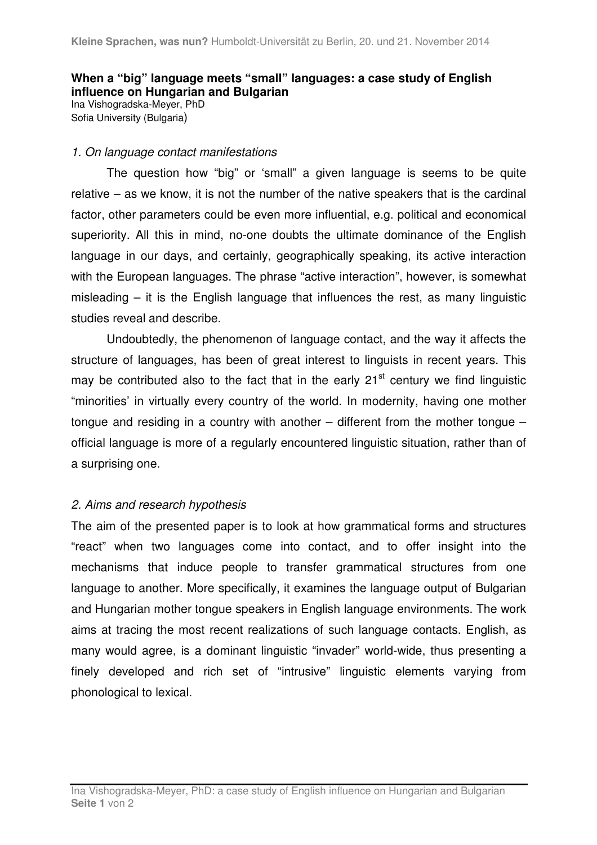# **When a "big" language meets "small" languages: a case study of English influence on Hungarian and Bulgarian**

Ina Vishogradska-Meyer, PhD Sofia University (Bulgaria)

## 1. On language contact manifestations

The question how "big" or 'small" a given language is seems to be quite relative – as we know, it is not the number of the native speakers that is the cardinal factor, other parameters could be even more influential, e.g. political and economical superiority. All this in mind, no-one doubts the ultimate dominance of the English language in our days, and certainly, geographically speaking, its active interaction with the European languages. The phrase "active interaction", however, is somewhat misleading – it is the English language that influences the rest, as many linguistic studies reveal and describe.

Undoubtedly, the phenomenon of language contact, and the way it affects the structure of languages, has been of great interest to linguists in recent years. This may be contributed also to the fact that in the early  $21<sup>st</sup>$  century we find linguistic "minorities' in virtually every country of the world. In modernity, having one mother tongue and residing in a country with another – different from the mother tongue – official language is more of a regularly encountered linguistic situation, rather than of a surprising one.

## 2. Aims and research hypothesis

The aim of the presented paper is to look at how grammatical forms and structures "react" when two languages come into contact, and to offer insight into the mechanisms that induce people to transfer grammatical structures from one language to another. More specifically, it examines the language output of Bulgarian and Hungarian mother tongue speakers in English language environments. The work aims at tracing the most recent realizations of such language contacts. English, as many would agree, is a dominant linguistic "invader" world-wide, thus presenting a finely developed and rich set of "intrusive" linguistic elements varying from phonological to lexical.